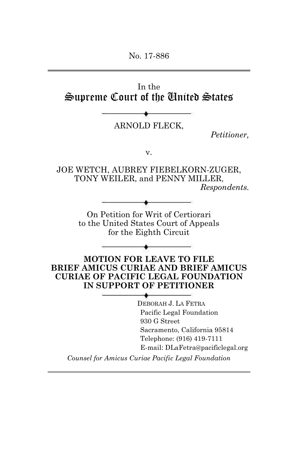No. 17-886

In the Supreme Court of the United States

ARNOLD FLECK,

*Petitioner,* 

v.

JOE WETCH, AUBREY FIEBELKORN-ZUGER, TONY WEILER, and PENNY MILLER, *Respondents.*

On Petition for Writ of Certiorari to the United States Court of Appeals for the Eighth Circuit

**MOTION FOR LEAVE TO FILE BRIEF AMICUS CURIAE AND BRIEF AMICUS CURIAE OF PACIFIC LEGAL FOUNDATION IN SUPPORT OF PETITIONER** 

> DEBORAH J. LA FETRA Pacific Legal Foundation 930 G Street Sacramento, California 95814 Telephone: (916) 419-7111 E-mail: DLaFetra@pacificlegal.org

*Counsel for Amicus Curiae Pacific Legal Foundation*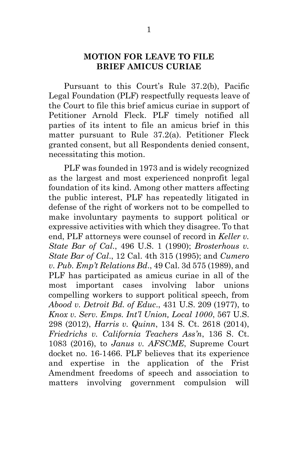#### **MOTION FOR LEAVE TO FILE BRIEF AMICUS CURIAE**

Pursuant to this Court's Rule 37.2(b), Pacific Legal Foundation (PLF) respectfully requests leave of the Court to file this brief amicus curiae in support of Petitioner Arnold Fleck. PLF timely notified all parties of its intent to file an amicus brief in this matter pursuant to Rule 37.2(a). Petitioner Fleck granted consent, but all Respondents denied consent, necessitating this motion.

 PLF was founded in 1973 and is widely recognized as the largest and most experienced nonprofit legal foundation of its kind. Among other matters affecting the public interest, PLF has repeatedly litigated in defense of the right of workers not to be compelled to make involuntary payments to support political or expressive activities with which they disagree. To that end, PLF attorneys were counsel of record in *Keller v. State Bar of Cal*., 496 U.S. 1 (1990); *Brosterhous v. State Bar of Cal*., 12 Cal. 4th 315 (1995); and *Cumero v. Pub. Emp't Relations Bd*., 49 Cal. 3d 575 (1989), and PLF has participated as amicus curiae in all of the most important cases involving labor unions compelling workers to support political speech, from *Abood v. Detroit Bd. of Educ*., 431 U.S. 209 (1977), to *Knox v. Serv. Emps. Int'l Union, Local 1000*, 567 U.S. 298 (2012), *Harris v. Quinn*, 134 S. Ct. 2618 (2014), *Friedrichs v. California Teachers Ass'n*, 136 S. Ct. 1083 (2016), to *Janus v. AFSCME*, Supreme Court docket no. 16-1466. PLF believes that its experience and expertise in the application of the Frist Amendment freedoms of speech and association to matters involving government compulsion will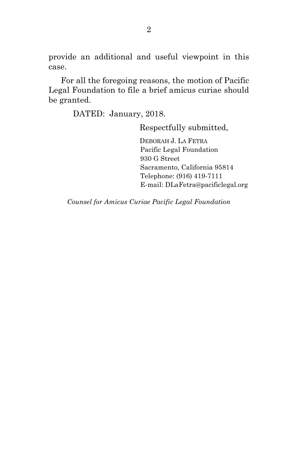provide an additional and useful viewpoint in this case.

 For all the foregoing reasons, the motion of Pacific Legal Foundation to file a brief amicus curiae should be granted.

DATED: January, 2018.

Respectfully submitted,

 DEBORAH J. LA FETRA Pacific Legal Foundation 930 G Street Sacramento, California 95814 Telephone: (916) 419-7111 E-mail: DLaFetra@pacificlegal.org

*Counsel for Amicus Curiae Pacific Legal Foundation*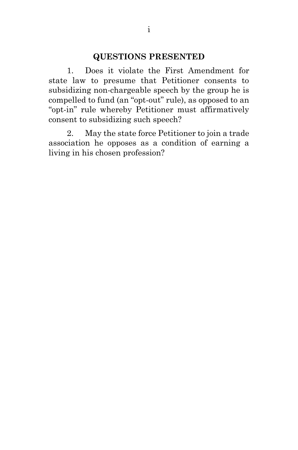### **QUESTIONS PRESENTED**

1. Does it violate the First Amendment for state law to presume that Petitioner consents to subsidizing non-chargeable speech by the group he is compelled to fund (an "opt-out" rule), as opposed to an "opt-in" rule whereby Petitioner must affirmatively consent to subsidizing such speech?

2. May the state force Petitioner to join a trade association he opposes as a condition of earning a living in his chosen profession?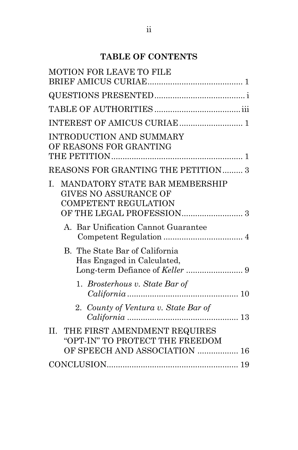# **TABLE OF CONTENTS**

| MOTION FOR LEAVE TO FILE                                                                                        |
|-----------------------------------------------------------------------------------------------------------------|
|                                                                                                                 |
|                                                                                                                 |
|                                                                                                                 |
|                                                                                                                 |
| <b>INTRODUCTION AND SUMMARY</b><br>OF REASONS FOR GRANTING                                                      |
| REASONS FOR GRANTING THE PETITION 3                                                                             |
| MANDATORY STATE BAR MEMBERSHIP<br>$\mathbf{I}$ .<br><b>GIVES NO ASSURANCE OF</b><br><b>COMPETENT REGULATION</b> |
| A. Bar Unification Cannot Guarantee                                                                             |
| B. The State Bar of California<br>Has Engaged in Calculated,                                                    |
| 1. Brosterhous v. State Bar of                                                                                  |
| 2. County of Ventura v. State Bar of                                                                            |
| THE FIRST AMENDMENT REQUIRES<br>II.<br>"OPT-IN" TO PROTECT THE FREEDOM                                          |
| OF SPEECH AND ASSOCIATION  16                                                                                   |
|                                                                                                                 |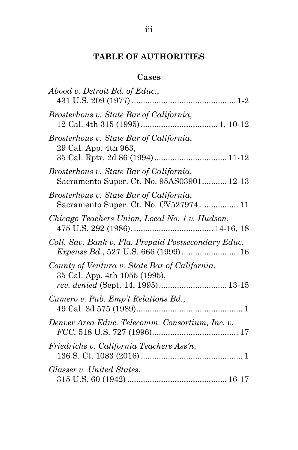# **TABLE OF AUTHORITIES**

## **Cases**

| Abood v. Detroit Bd. of Educ.,                                                                                       |
|----------------------------------------------------------------------------------------------------------------------|
| Brosterhous v. State Bar of California,                                                                              |
| Brosterhous v. State Bar of California,<br>29 Cal. App. 4th 963,                                                     |
| Brosterhous v. State Bar of California,<br>Sacramento Super. Ct. No. 95AS03901 12-13                                 |
| Brosterhous v. State Bar of California,<br>Sacramento Super. Ct. No. CV527974  11                                    |
| Chicago Teachers Union, Local No. 1 v. Hudson,                                                                       |
| Coll. Sav. Bank v. Fla. Prepaid Postsecondary Educ.                                                                  |
| County of Ventura v. State Bar of California,<br>35 Cal. App. 4th 1055 (1995),<br>rev. denied (Sept. 14, 1995) 13-15 |
| Cumero v. Pub. Emp't Relations Bd.,                                                                                  |
| Denver Area Educ. Telecomm. Consortium, Inc. v.                                                                      |
| Friedrichs v. California Teachers Ass'n,                                                                             |
| Glasser v. United States,                                                                                            |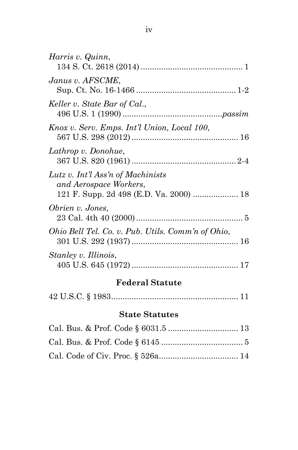| Harris v. Quinn,                                            |
|-------------------------------------------------------------|
|                                                             |
| Janus v. AFSCME,                                            |
| Keller v. State Bar of Cal.,                                |
| Knox v. Serv. Emps. Int'l Union, Local 100,                 |
| Lathrop v. Donohue,                                         |
| Lutz v. Int'l Ass'n of Machinists<br>and Aerospace Workers, |
| Obrien v. Jones,                                            |
| Ohio Bell Tel. Co. v. Pub. Utils. Comm'n of Ohio,           |
| Stanley v. Illinois,                                        |

# **Federal Statute**

|--|--|--|

# **State Statutes**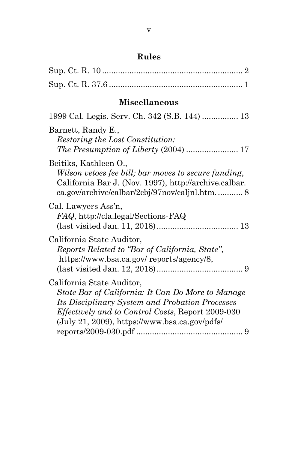# **Rules**

# **Miscellaneous**

| 1999 Cal. Legis. Serv. Ch. 342 (S.B. 144)  13                                                                                                                                                                                                    |
|--------------------------------------------------------------------------------------------------------------------------------------------------------------------------------------------------------------------------------------------------|
| Barnett, Randy E.,<br>Restoring the Lost Constitution:<br><i>The Presumption of Liberty (2004) </i> 17                                                                                                                                           |
| Beitiks, Kathleen O.,<br>Wilson vetoes fee bill; bar moves to secure funding,<br>California Bar J. (Nov. 1997), http://archive.calbar.<br>ca.gov/archive/calbar/2cbj/97nov/caljnl.htm 8                                                          |
| Cal. Lawyers Ass'n,<br><i>FAQ</i> , http://cla.legal/Sections-FAQ                                                                                                                                                                                |
| California State Auditor,<br>Reports Related to "Bar of California, State",<br>https://www.bsa.ca.gov/ reports/agency/8,                                                                                                                         |
| California State Auditor,<br>State Bar of California: It Can Do More to Manage<br>Its Disciplinary System and Probation Processes<br><i>Effectively and to Control Costs, Report 2009-030</i><br>$(July 21, 2009), https://www.bsa.ca.gov/pdfs/$ |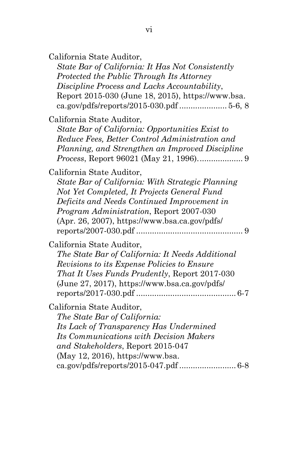*State Bar of California: It Has Not Consistently Protected the Public Through Its Attorney Discipline Process and Lacks Accountability*, Report 2015-030 (June 18, 2015), https://www.bsa. ca.gov/pdfs/reports/2015-030.pdf ..................... 5-6, 8

California State Auditor,

*State Bar of California: Opportunities Exist to Reduce Fees, Better Control Administration and Planning, and Strengthen an Improved Discipline Process*, Report 96021 (May 21, 1996). ................... 9

California State Auditor,

*State Bar of California: With Strategic Planning Not Yet Completed, It Projects General Fund Deficits and Needs Continued Improvement in Program Administration*, Report 2007-030 (Apr. 26, 2007), https://www.bsa.ca.gov/pdfs/ reports/2007-030.pdf ............................................... 9

#### California State Auditor,

*The State Bar of California: It Needs Additional Revisions to its Expense Policies to Ensure That It Uses Funds Prudently*, Report 2017-030 (June 27, 2017), https://www.bsa.ca.gov/pdfs/ reports/2017-030.pdf ............................................ 6-7

California State Auditor,

*The State Bar of California: Its Lack of Transparency Has Undermined Its Communications with Decision Makers and Stakeholders*, Report 2015-047 (May 12, 2016), https://www.bsa. ca.gov/pdfs/reports/2015-047.pdf ......................... 6-8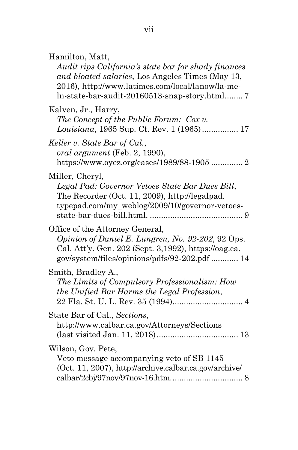Hamilton, Matt,

*Audit rips California's state bar for shady finances and bloated salaries*, Los Angeles Times (May 13, 2016), http://www.latimes.com/local/lanow/la-meln-state-bar-audit-20160513-snap-story.html ........ 7

Kalven, Jr., Harry, *The Concept of the Public Forum: Cox v. Louisiana*, 1965 Sup. Ct. Rev. 1 (1965) ................ 17 *Keller v. State Bar of Cal.*, *oral argument* (Feb. 2, 1990), https://www.oyez.org/cases/1989/88-1905 .............. 2 Miller, Cheryl, *Legal Pad: Governor Vetoes State Bar Dues Bill*, The Recorder (Oct. 11, 2009), http://legalpad. typepad.com/my\_weblog/2009/10/governor-vetoesstate-bar-dues-bill.html. ......................................... 9 Office of the Attorney General, *Opinion of Daniel E. Lungren, No. 92-202*, 92 Ops. Cal. Att'y. Gen. 202 (Sept. 3,1992), https://oag.ca. gov/system/files/opinions/pdfs/92-202.pdf ............ 14 Smith, Bradley A., *The Limits of Compulsory Professionalism: How the Unified Bar Harms the Legal Profession*, 22 Fla. St. U. L. Rev. 35 (1994) ............................... 4 State Bar of Cal., *Sections*, http://www.calbar.ca.gov/Attorneys/Sections (last visited Jan. 11, 2018) .................................... 13 Wilson, Gov. Pete, Veto message accompanying veto of SB 1145 (Oct. 11, 2007), http://archive.calbar.ca.gov/archive/ calbar/2cbj/97nov/97nov-16.htm. ............................... 8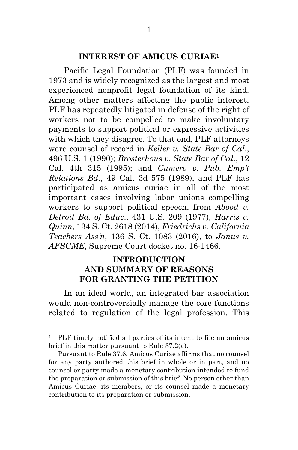#### **INTEREST OF AMICUS CURIAE<sup>1</sup>**

Pacific Legal Foundation (PLF) was founded in 1973 and is widely recognized as the largest and most experienced nonprofit legal foundation of its kind. Among other matters affecting the public interest, PLF has repeatedly litigated in defense of the right of workers not to be compelled to make involuntary payments to support political or expressive activities with which they disagree. To that end, PLF attorneys were counsel of record in *Keller v. State Bar of Cal*., 496 U.S. 1 (1990); *Brosterhous v. State Bar of Cal*., 12 Cal. 4th 315 (1995); and *Cumero v. Pub. Emp't Relations Bd*., 49 Cal. 3d 575 (1989), and PLF has participated as amicus curiae in all of the most important cases involving labor unions compelling workers to support political speech, from *Abood v. Detroit Bd. of Educ*., 431 U.S. 209 (1977), *Harris v. Quinn*, 134 S. Ct. 2618 (2014), *Friedrichs v. California Teachers Ass'n*, 136 S. Ct. 1083 (2016), to *Janus v. AFSCME*, Supreme Court docket no. 16-1466.

### **INTRODUCTION AND SUMMARY OF REASONS FOR GRANTING THE PETITION**

 In an ideal world, an integrated bar association would non-controversially manage the core functions related to regulation of the legal profession. This

<sup>&</sup>lt;sup>1</sup> PLF timely notified all parties of its intent to file an amicus brief in this matter pursuant to Rule 37.2(a).

Pursuant to Rule 37.6, Amicus Curiae affirms that no counsel for any party authored this brief in whole or in part, and no counsel or party made a monetary contribution intended to fund the preparation or submission of this brief. No person other than Amicus Curiae, its members, or its counsel made a monetary contribution to its preparation or submission.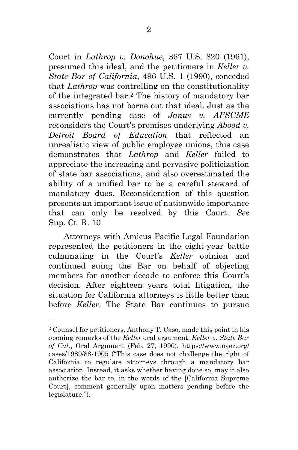Court in *Lathrop v. Donohue*, 367 U.S. 820 (1961), presumed this ideal, and the petitioners in *Keller v. State Bar of California*, 496 U.S. 1 (1990), conceded that *Lathrop* was controlling on the constitutionality of the integrated bar.2 The history of mandatory bar associations has not borne out that ideal. Just as the currently pending case of *Janus v. AFSCME* reconsiders the Court's premises underlying *Abood v. Detroit Board of Education* that reflected an unrealistic view of public employee unions, this case demonstrates that *Lathrop* and *Keller* failed to appreciate the increasing and pervasive politicization of state bar associations, and also overestimated the ability of a unified bar to be a careful steward of mandatory dues. Reconsideration of this question presents an important issue of nationwide importance that can only be resolved by this Court. *See*  Sup. Ct. R. 10.

 Attorneys with Amicus Pacific Legal Foundation represented the petitioners in the eight-year battle culminating in the Court's *Keller* opinion and continued suing the Bar on behalf of objecting members for another decade to enforce this Court's decision. After eighteen years total litigation, the situation for California attorneys is little better than before *Keller*. The State Bar continues to pursue

<sup>2</sup> Counsel for petitioners, Anthony T. Caso, made this point in his opening remarks of the *Keller* oral argument. *Keller v. State Bar of Cal.*, Oral Argument (Feb. 27, 1990), https://www.oyez.org/ cases/1989/88-1905 ("This case does not challenge the right of California to regulate attorneys through a mandatory bar association. Instead, it asks whether having done so, may it also authorize the bar to, in the words of the [California Supreme Court], comment generally upon matters pending before the legislature.").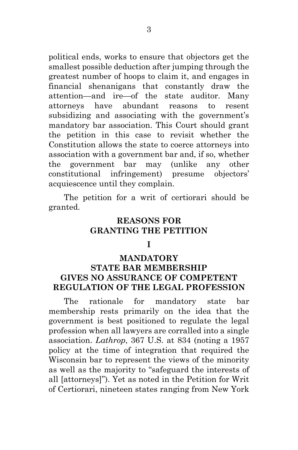political ends, works to ensure that objectors get the smallest possible deduction after jumping through the greatest number of hoops to claim it, and engages in financial shenanigans that constantly draw the attention—and ire—of the state auditor. Many attorneys have abundant reasons to resent subsidizing and associating with the government's mandatory bar association. This Court should grant the petition in this case to revisit whether the Constitution allows the state to coerce attorneys into association with a government bar and, if so, whether the government bar may (unlike any other constitutional infringement) presume objectors' acquiescence until they complain.

 The petition for a writ of certiorari should be granted.

### **REASONS FOR GRANTING THE PETITION**

#### **I**

### **MANDATORY STATE BAR MEMBERSHIP GIVES NO ASSURANCE OF COMPETENT REGULATION OF THE LEGAL PROFESSION**

 The rationale for mandatory state bar membership rests primarily on the idea that the government is best positioned to regulate the legal profession when all lawyers are corralled into a single association. *Lathrop*, 367 U.S. at 834 (noting a 1957 policy at the time of integration that required the Wisconsin bar to represent the views of the minority as well as the majority to "safeguard the interests of all [attorneys]"). Yet as noted in the Petition for Writ of Certiorari, nineteen states ranging from New York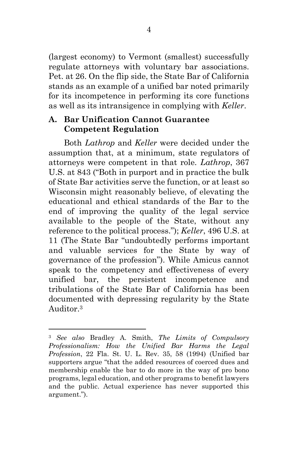(largest economy) to Vermont (smallest) successfully regulate attorneys with voluntary bar associations. Pet. at 26. On the flip side, the State Bar of California stands as an example of a unified bar noted primarily for its incompetence in performing its core functions as well as its intransigence in complying with *Keller*.

### **A. Bar Unification Cannot Guarantee Competent Regulation**

 Both *Lathrop* and *Keller* were decided under the assumption that, at a minimum, state regulators of attorneys were competent in that role. *Lathrop*, 367 U.S. at 843 ("Both in purport and in practice the bulk of State Bar activities serve the function, or at least so Wisconsin might reasonably believe, of elevating the educational and ethical standards of the Bar to the end of improving the quality of the legal service available to the people of the State, without any reference to the political process."); *Keller*, 496 U.S. at 11 (The State Bar "undoubtedly performs important and valuable services for the State by way of governance of the profession"). While Amicus cannot speak to the competency and effectiveness of every unified bar, the persistent incompetence and tribulations of the State Bar of California has been documented with depressing regularity by the State Auditor.<sup>3</sup>

<sup>3</sup> *See also* Bradley A. Smith, *The Limits of Compulsory Professionalism: How the Unified Bar Harms the Legal Profession*, 22 Fla. St. U. L. Rev. 35, 58 (1994) (Unified bar supporters argue "that the added resources of coerced dues and membership enable the bar to do more in the way of pro bono programs, legal education, and other programs to benefit lawyers and the public. Actual experience has never supported this argument.").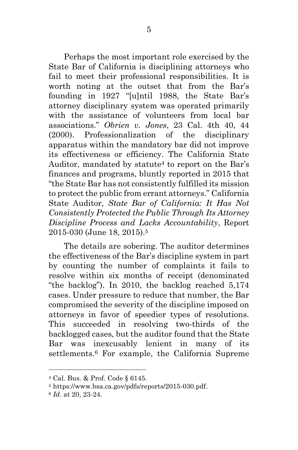Perhaps the most important role exercised by the State Bar of California is disciplining attorneys who fail to meet their professional responsibilities. It is worth noting at the outset that from the Bar's founding in 1927 "[u]ntil 1988, the State Bar's attorney disciplinary system was operated primarily with the assistance of volunteers from local bar associations." *Obrien v. Jones*, 23 Cal. 4th 40, 44 (2000). Professionalization of the disciplinary apparatus within the mandatory bar did not improve its effectiveness or efficiency. The California State Auditor, mandated by statute<sup>4</sup> to report on the Bar's finances and programs, bluntly reported in 2015 that "the State Bar has not consistently fulfilled its mission to protect the public from errant attorneys." California State Auditor, *State Bar of California: It Has Not Consistently Protected the Public Through Its Attorney Discipline Process and Lacks Accountability*, Report 2015-030 (June 18, 2015).<sup>5</sup>

 The details are sobering. The auditor determines the effectiveness of the Bar's discipline system in part by counting the number of complaints it fails to resolve within six months of receipt (denominated "the backlog"). In 2010, the backlog reached 5,174 cases. Under pressure to reduce that number, the Bar compromised the severity of the discipline imposed on attorneys in favor of speedier types of resolutions. This succeeded in resolving two-thirds of the backlogged cases, but the auditor found that the State Bar was inexcusably lenient in many of its settlements.6 For example, the California Supreme

<sup>4</sup> Cal. Bus. & Prof. Code § 6145.

<sup>5</sup> https://www.bsa.ca.gov/pdfs/reports/2015-030.pdf.

<sup>6</sup> *Id*. at 20, 23-24.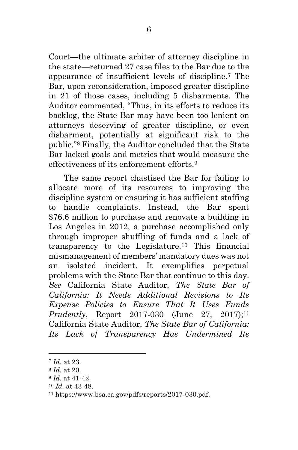Court—the ultimate arbiter of attorney discipline in the state—returned 27 case files to the Bar due to the appearance of insufficient levels of discipline.7 The Bar, upon reconsideration, imposed greater discipline in 21 of those cases, including 5 disbarments. The Auditor commented, "Thus, in its efforts to reduce its backlog, the State Bar may have been too lenient on attorneys deserving of greater discipline, or even disbarment, potentially at significant risk to the public."8 Finally, the Auditor concluded that the State Bar lacked goals and metrics that would measure the effectiveness of its enforcement efforts<sup>9</sup>

 The same report chastised the Bar for failing to allocate more of its resources to improving the discipline system or ensuring it has sufficient staffing to handle complaints. Instead, the Bar spent \$76.6 million to purchase and renovate a building in Los Angeles in 2012, a purchase accomplished only through improper shuffling of funds and a lack of transparency to the Legislature.10 This financial mismanagement of members' mandatory dues was not an isolated incident. It exemplifies perpetual problems with the State Bar that continue to this day. *See* California State Auditor, *The State Bar of California: It Needs Additional Revisions to Its Expense Policies to Ensure That It Uses Funds Prudently*, Report 2017-030 (June 27, 2017);<sup>11</sup> California State Auditor, *The State Bar of California: Its Lack of Transparency Has Undermined Its* 

<sup>7</sup> *Id.* at 23.

<sup>8</sup> *Id.* at 20.

<sup>9</sup> *Id.* at 41-42.

<sup>10</sup> *Id.* at 43-48.

<sup>11</sup> https://www.bsa.ca.gov/pdfs/reports/2017-030.pdf.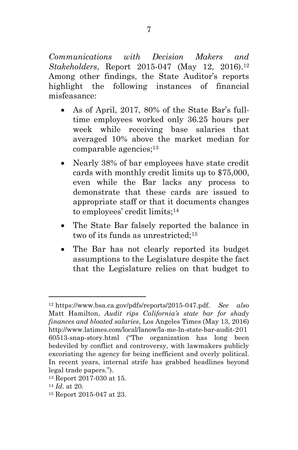*Communications with Decision Makers and Stakeholders*, Report 2015-047 (May 12, 2016).<sup>12</sup> Among other findings, the State Auditor's reports highlight the following instances of financial misfeasance:

- As of April, 2017, 80% of the State Bar's fulltime employees worked only 36.25 hours per week while receiving base salaries that averaged 10% above the market median for comparable agencies;<sup>13</sup>
- Nearly 38% of bar employees have state credit cards with monthly credit limits up to \$75,000, even while the Bar lacks any process to demonstrate that these cards are issued to appropriate staff or that it documents changes to employees' credit limits;<sup>14</sup>
- The State Bar falsely reported the balance in two of its funds as unrestricted;<sup>15</sup>
- The Bar has not clearly reported its budget assumptions to the Legislature despite the fact that the Legislature relies on that budget to

 $\overline{a}$ 

15 Report 2015-047 at 23.

<sup>12</sup> https://www.bsa.ca.gov/pdfs/reports/2015-047.pdf. *See also*  Matt Hamilton, *Audit rips California's state bar for shady finances and bloated salaries*, Los Angeles Times (May 13, 2016) http://www.latimes.com/local/lanow/la-me-ln-state-bar-audit-201 60513-snap-story.html ("The organization has long been bedeviled by conflict and controversy, with lawmakers publicly excoriating the agency for being inefficient and overly political. In recent years, internal strife has grabbed headlines beyond legal trade papers.").

<sup>13</sup> Report 2017-030 at 15.

<sup>14</sup> *Id*. at 20.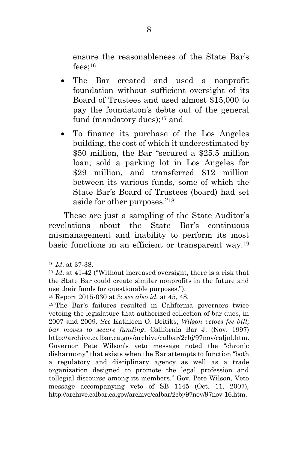ensure the reasonableness of the State Bar's  $fees$ :<sup>16</sup>

- The Bar created and used a nonprofit foundation without sufficient oversight of its Board of Trustees and used almost \$15,000 to pay the foundation's debts out of the general fund (mandatory dues):<sup>17</sup> and
- To finance its purchase of the Los Angeles building, the cost of which it underestimated by \$50 million, the Bar "secured a \$25.5 million loan, sold a parking lot in Los Angeles for \$29 million, and transferred \$12 million between its various funds, some of which the State Bar's Board of Trustees (board) had set aside for other purposes."<sup>18</sup>

 These are just a sampling of the State Auditor's revelations about the State Bar's continuous mismanagement and inability to perform its most basic functions in an efficient or transparent way.<sup>19</sup>

<sup>16</sup> *Id*. at 37-38.

<sup>17</sup> *Id*. at 41-42 ("Without increased oversight, there is a risk that the State Bar could create similar nonprofits in the future and use their funds for questionable purposes.").

<sup>18</sup> Report 2015-030 at 3; *see also id.* at 45, 48.

<sup>19</sup> The Bar's failures resulted in California governors twice vetoing the legislature that authorized collection of bar dues, in 2007 and 2009. *See* Kathleen O. Beitiks, *Wilson vetoes fee bill; bar moves to secure funding*, California Bar J. (Nov. 1997) http://archive.calbar.ca.gov/archive/calbar/2cbj/97nov/caljnl.htm. Governor Pete Wilson's veto message noted the "chronic disharmony" that exists when the Bar attempts to function "both a regulatory and disciplinary agency as well as a trade organization designed to promote the legal profession and collegial discourse among its members." Gov. Pete Wilson, Veto message accompanying veto of SB 1145 (Oct. 11, 2007), http://archive.calbar.ca.gov/archive/calbar/2cbj/97nov/97nov-16.htm.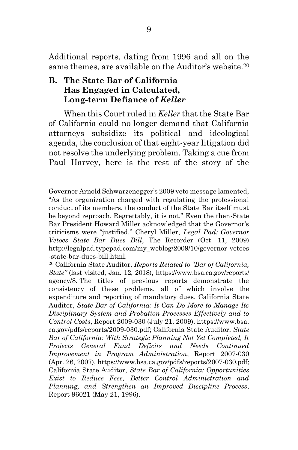Additional reports, dating from 1996 and all on the same themes, are available on the Auditor's website.<sup>20</sup>

### **B. The State Bar of California Has Engaged in Calculated, Long-term Defiance of** *Keller*

 $\overline{a}$ 

 When this Court ruled in *Keller* that the State Bar of California could no longer demand that California attorneys subsidize its political and ideological agenda, the conclusion of that eight-year litigation did not resolve the underlying problem. Taking a cue from Paul Harvey, here is the rest of the story of the

Governor Arnold Schwarzenegger's 2009 veto message lamented, "As the organization charged with regulating the professional conduct of its members, the conduct of the State Bar itself must be beyond reproach. Regrettably, it is not." Even the then-State Bar President Howard Miller acknowledged that the Governor's criticisms were "justified." Cheryl Miller, *Legal Pad: Governor Vetoes State Bar Dues Bill*, The Recorder (Oct. 11, 2009) http://legalpad.typepad.com/my\_weblog/2009/10/governor-vetoes -state-bar-dues-bill.html.

<sup>20</sup> California State Auditor, *Reports Related to "Bar of California, State"* (last visited, Jan. 12, 2018), https://www.bsa.ca.gov/reports/ agency/8. The titles of previous reports demonstrate the consistency of these problems, all of which involve the expenditure and reporting of mandatory dues. California State Auditor, *State Bar of California: It Can Do More to Manage Its Disciplinary System and Probation Processes Effectively and to Control Costs*, Report 2009-030 (July 21, 2009), https://www.bsa. ca.gov/pdfs/reports/2009-030.pdf; California State Auditor, *State Bar of California: With Strategic Planning Not Yet Completed, It Projects General Fund Deficits and Needs Continued Improvement in Program Administration*, Report 2007-030 (Apr. 26, 2007), https://www.bsa.ca.gov/pdfs/reports/2007-030.pdf; California State Auditor, *State Bar of California: Opportunities Exist to Reduce Fees, Better Control Administration and Planning, and Strengthen an Improved Discipline Process*, Report 96021 (May 21, 1996).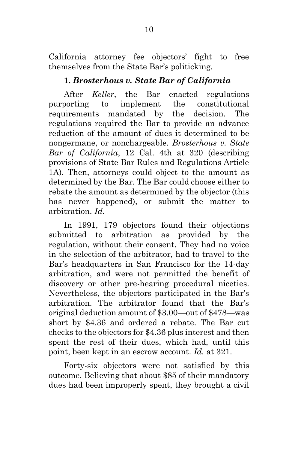California attorney fee objectors' fight to free themselves from the State Bar's politicking.

## **1.** *Brosterhous v. State Bar of California*

 After *Keller*, the Bar enacted regulations purporting to implement the constitutional requirements mandated by the decision. The regulations required the Bar to provide an advance reduction of the amount of dues it determined to be nongermane, or nonchargeable. *Brosterhous v. State Bar of California*, 12 Cal. 4th at 320 (describing provisions of State Bar Rules and Regulations Article 1A). Then, attorneys could object to the amount as determined by the Bar. The Bar could choose either to rebate the amount as determined by the objector (this has never happened), or submit the matter to arbitration. *Id.*

 In 1991, 179 objectors found their objections submitted to arbitration as provided by the regulation, without their consent. They had no voice in the selection of the arbitrator, had to travel to the Bar's headquarters in San Francisco for the 14-day arbitration, and were not permitted the benefit of discovery or other pre-hearing procedural niceties. Nevertheless, the objectors participated in the Bar's arbitration. The arbitrator found that the Bar's original deduction amount of \$3.00—out of \$478—was short by \$4.36 and ordered a rebate. The Bar cut checks to the objectors for \$4.36 plus interest and then spent the rest of their dues, which had, until this point, been kept in an escrow account. *Id.* at 321.

 Forty-six objectors were not satisfied by this outcome. Believing that about \$85 of their mandatory dues had been improperly spent, they brought a civil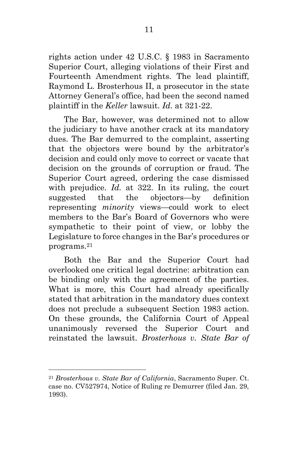rights action under 42 U.S.C. § 1983 in Sacramento Superior Court, alleging violations of their First and Fourteenth Amendment rights. The lead plaintiff, Raymond L. Brosterhous II, a prosecutor in the state Attorney General's office, had been the second named plaintiff in the *Keller* lawsuit. *Id.* at 321-22.

 The Bar, however, was determined not to allow the judiciary to have another crack at its mandatory dues. The Bar demurred to the complaint, asserting that the objectors were bound by the arbitrator's decision and could only move to correct or vacate that decision on the grounds of corruption or fraud. The Superior Court agreed, ordering the case dismissed with prejudice. *Id.* at 322. In its ruling, the court suggested that the objectors—by definition representing *minority* views—could work to elect members to the Bar's Board of Governors who were sympathetic to their point of view, or lobby the Legislature to force changes in the Bar's procedures or programs.<sup>21</sup>

 Both the Bar and the Superior Court had overlooked one critical legal doctrine: arbitration can be binding only with the agreement of the parties. What is more, this Court had already specifically stated that arbitration in the mandatory dues context does not preclude a subsequent Section 1983 action. On these grounds, the California Court of Appeal unanimously reversed the Superior Court and reinstated the lawsuit. *Brosterhous v. State Bar of* 

<sup>21</sup> *Brosterhous v. State Bar of California*, Sacramento Super. Ct. case no. CV527974, Notice of Ruling re Demurrer (filed Jan. 29, 1993).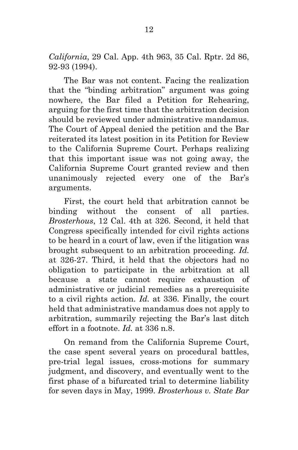*California*, 29 Cal. App. 4th 963, 35 Cal. Rptr. 2d 86, 92-93 (1994).

 The Bar was not content. Facing the realization that the "binding arbitration" argument was going nowhere, the Bar filed a Petition for Rehearing, arguing for the first time that the arbitration decision should be reviewed under administrative mandamus. The Court of Appeal denied the petition and the Bar reiterated its latest position in its Petition for Review to the California Supreme Court. Perhaps realizing that this important issue was not going away, the California Supreme Court granted review and then unanimously rejected every one of the Bar's arguments.

 First, the court held that arbitration cannot be binding without the consent of all parties. *Brosterhous*, 12 Cal. 4th at 326. Second, it held that Congress specifically intended for civil rights actions to be heard in a court of law, even if the litigation was brought subsequent to an arbitration proceeding. *Id.*  at 326-27. Third, it held that the objectors had no obligation to participate in the arbitration at all because a state cannot require exhaustion of administrative or judicial remedies as a prerequisite to a civil rights action. *Id.* at 336. Finally, the court held that administrative mandamus does not apply to arbitration, summarily rejecting the Bar's last ditch effort in a footnote. *Id.* at 336 n.8.

 On remand from the California Supreme Court, the case spent several years on procedural battles, pre-trial legal issues, cross-motions for summary judgment, and discovery, and eventually went to the first phase of a bifurcated trial to determine liability for seven days in May, 1999. *Brosterhous v. State Bar*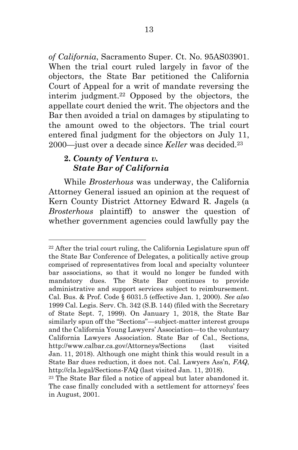*of California*, Sacramento Super. Ct. No. 95AS03901. When the trial court ruled largely in favor of the objectors, the State Bar petitioned the California Court of Appeal for a writ of mandate reversing the interim judgment.22 Opposed by the objectors, the appellate court denied the writ. The objectors and the Bar then avoided a trial on damages by stipulating to the amount owed to the objectors. The trial court entered final judgment for the objectors on July 11, 2000—just over a decade since *Keller* was decided.<sup>23</sup>

## **2.** *County of Ventura v. State Bar of California*

 $\overline{a}$ 

 While *Brosterhous* was underway, the California Attorney General issued an opinion at the request of Kern County District Attorney Edward R. Jagels (a *Brosterhous* plaintiff) to answer the question of whether government agencies could lawfully pay the

<sup>22</sup> After the trial court ruling, the California Legislature spun off the State Bar Conference of Delegates, a politically active group comprised of representatives from local and specialty volunteer bar associations, so that it would no longer be funded with mandatory dues. The State Bar continues to provide administrative and support services subject to reimbursement. Cal. Bus. & Prof. Code § 6031.5 (effective Jan. 1, 2000). *See also* 1999 Cal. Legis. Serv. Ch. 342 (S.B. 144) (filed with the Secretary of State Sept. 7, 1999). On January 1, 2018, the State Bar similarly spun off the "Sections"—subject-matter interest groups and the California Young Lawyers' Association—to the voluntary California Lawyers Association. State Bar of Cal., Sections, http://www.calbar.ca.gov/Attorneys/Sections (last visited Jan. 11, 2018). Although one might think this would result in a State Bar dues reduction, it does not. Cal. Lawyers Ass'n, *FAQ*, http://cla.legal/Sections-FAQ (last visited Jan. 11, 2018).

<sup>23</sup> The State Bar filed a notice of appeal but later abandoned it. The case finally concluded with a settlement for attorneys' fees in August, 2001.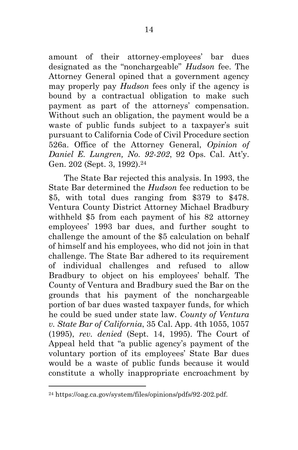amount of their attorney-employees' bar dues designated as the "nonchargeable" *Hudson* fee. The Attorney General opined that a government agency may properly pay *Hudson* fees only if the agency is bound by a contractual obligation to make such payment as part of the attorneys' compensation. Without such an obligation, the payment would be a waste of public funds subject to a taxpayer's suit pursuant to California Code of Civil Procedure section 526a. Office of the Attorney General, *Opinion of Daniel E. Lungren, No. 92-202*, 92 Ops. Cal. Att'y. Gen. 202 (Sept. 3, 1992).<sup>24</sup>

 The State Bar rejected this analysis. In 1993, the State Bar determined the *Hudson* fee reduction to be \$5, with total dues ranging from \$379 to \$478. Ventura County District Attorney Michael Bradbury withheld \$5 from each payment of his 82 attorney employees' 1993 bar dues, and further sought to challenge the amount of the \$5 calculation on behalf of himself and his employees, who did not join in that challenge. The State Bar adhered to its requirement of individual challenges and refused to allow Bradbury to object on his employees' behalf. The County of Ventura and Bradbury sued the Bar on the grounds that his payment of the nonchargeable portion of bar dues wasted taxpayer funds, for which he could be sued under state law. *County of Ventura v. State Bar of California*, 35 Cal. App. 4th 1055, 1057 (1995), *rev. denied* (Sept. 14, 1995). The Court of Appeal held that "a public agency's payment of the voluntary portion of its employees' State Bar dues would be a waste of public funds because it would constitute a wholly inappropriate encroachment by

<sup>24</sup> https://oag.ca.gov/system/files/opinions/pdfs/92-202.pdf.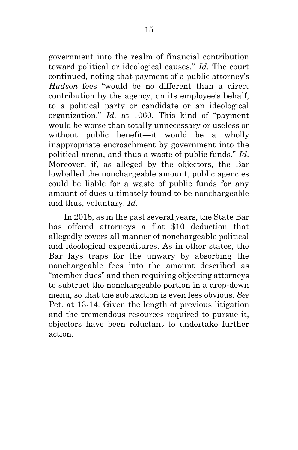government into the realm of financial contribution toward political or ideological causes." *Id*. The court continued, noting that payment of a public attorney's *Hudson* fees "would be no different than a direct contribution by the agency, on its employee's behalf, to a political party or candidate or an ideological organization." *Id.* at 1060. This kind of "payment would be worse than totally unnecessary or useless or without public benefit—it would be a wholly inappropriate encroachment by government into the political arena, and thus a waste of public funds." *Id*. Moreover, if, as alleged by the objectors, the Bar lowballed the nonchargeable amount, public agencies could be liable for a waste of public funds for any amount of dues ultimately found to be nonchargeable and thus, voluntary. *Id.*

 In 2018, as in the past several years, the State Bar has offered attorneys a flat \$10 deduction that allegedly covers all manner of nonchargeable political and ideological expenditures. As in other states, the Bar lays traps for the unwary by absorbing the nonchargeable fees into the amount described as "member dues" and then requiring objecting attorneys to subtract the nonchargeable portion in a drop-down menu, so that the subtraction is even less obvious. *See* Pet. at 13-14. Given the length of previous litigation and the tremendous resources required to pursue it, objectors have been reluctant to undertake further action.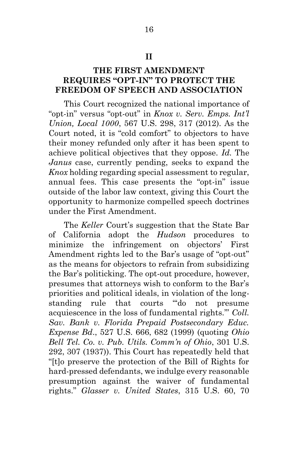#### **II**

### **THE FIRST AMENDMENT REQUIRES "OPT-IN" TO PROTECT THE FREEDOM OF SPEECH AND ASSOCIATION**

 This Court recognized the national importance of "opt-in" versus "opt-out" in *Knox v. Serv. Emps. Int'l Union, Local 1000*, 567 U.S. 298, 317 (2012). As the Court noted, it is "cold comfort" to objectors to have their money refunded only after it has been spent to achieve political objectives that they oppose. *Id.* The *Janus* case, currently pending, seeks to expand the *Knox* holding regarding special assessment to regular, annual fees. This case presents the "opt-in" issue outside of the labor law context, giving this Court the opportunity to harmonize compelled speech doctrines under the First Amendment.

 The *Keller* Court's suggestion that the State Bar of California adopt the *Hudson* procedures to minimize the infringement on objectors' First Amendment rights led to the Bar's usage of "opt-out" as the means for objectors to refrain from subsidizing the Bar's politicking. The opt-out procedure, however, presumes that attorneys wish to conform to the Bar's priorities and political ideals, in violation of the longstanding rule that courts "'do not presume acquiescence in the loss of fundamental rights.'" *Coll. Sav. Bank v. Florida Prepaid Postsecondary Educ. Expense Bd*., 527 U.S. 666, 682 (1999) (quoting *Ohio Bell Tel. Co. v. Pub. Utils. Comm'n of Ohio*, 301 U.S. 292, 307 (1937)). This Court has repeatedly held that "[t]o preserve the protection of the Bill of Rights for hard-pressed defendants, we indulge every reasonable presumption against the waiver of fundamental rights." *Glasser v. United States*, 315 U.S. 60, 70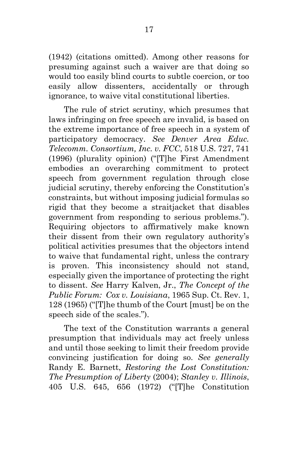(1942) (citations omitted). Among other reasons for presuming against such a waiver are that doing so would too easily blind courts to subtle coercion, or too easily allow dissenters, accidentally or through ignorance, to waive vital constitutional liberties.

 The rule of strict scrutiny, which presumes that laws infringing on free speech are invalid, is based on the extreme importance of free speech in a system of participatory democracy. *See Denver Area Educ. Telecomm. Consortium, Inc. v. FCC*, 518 U.S. 727, 741 (1996) (plurality opinion) ("[T]he First Amendment embodies an overarching commitment to protect speech from government regulation through close judicial scrutiny, thereby enforcing the Constitution's constraints, but without imposing judicial formulas so rigid that they become a straitjacket that disables government from responding to serious problems."). Requiring objectors to affirmatively make known their dissent from their own regulatory authority's political activities presumes that the objectors intend to waive that fundamental right, unless the contrary is proven. This inconsistency should not stand, especially given the importance of protecting the right to dissent. *See* Harry Kalven, Jr., *The Concept of the Public Forum: Cox v. Louisiana*, 1965 Sup. Ct. Rev. 1, 128 (1965) ("[T]he thumb of the Court [must] be on the speech side of the scales.").

 The text of the Constitution warrants a general presumption that individuals may act freely unless and until those seeking to limit their freedom provide convincing justification for doing so. *See generally* Randy E. Barnett, *Restoring the Lost Constitution: The Presumption of Liberty* (2004); *Stanley v. Illinois*, 405 U.S. 645, 656 (1972) ("[T]he Constitution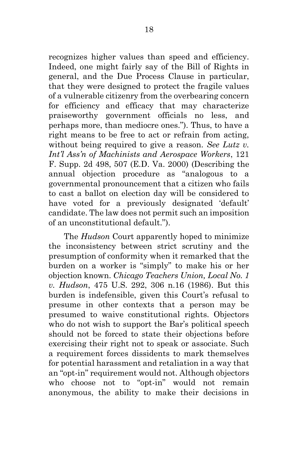recognizes higher values than speed and efficiency. Indeed, one might fairly say of the Bill of Rights in general, and the Due Process Clause in particular, that they were designed to protect the fragile values of a vulnerable citizenry from the overbearing concern for efficiency and efficacy that may characterize praiseworthy government officials no less, and perhaps more, than mediocre ones."). Thus, to have a right means to be free to act or refrain from acting, without being required to give a reason. *See Lutz v. Int'l Ass'n of Machinists and Aerospace Workers*, 121 F. Supp. 2d 498, 507 (E.D. Va. 2000) (Describing the annual objection procedure as "analogous to a governmental pronouncement that a citizen who fails to cast a ballot on election day will be considered to have voted for a previously designated 'default' candidate. The law does not permit such an imposition of an unconstitutional default.").

 The *Hudson* Court apparently hoped to minimize the inconsistency between strict scrutiny and the presumption of conformity when it remarked that the burden on a worker is "simply" to make his or her objection known. *Chicago Teachers Union, Local No. 1 v. Hudson*, 475 U.S. 292, 306 n.16 (1986). But this burden is indefensible, given this Court's refusal to presume in other contexts that a person may be presumed to waive constitutional rights. Objectors who do not wish to support the Bar's political speech should not be forced to state their objections before exercising their right not to speak or associate. Such a requirement forces dissidents to mark themselves for potential harassment and retaliation in a way that an "opt-in" requirement would not. Although objectors who choose not to "opt-in" would not remain anonymous, the ability to make their decisions in